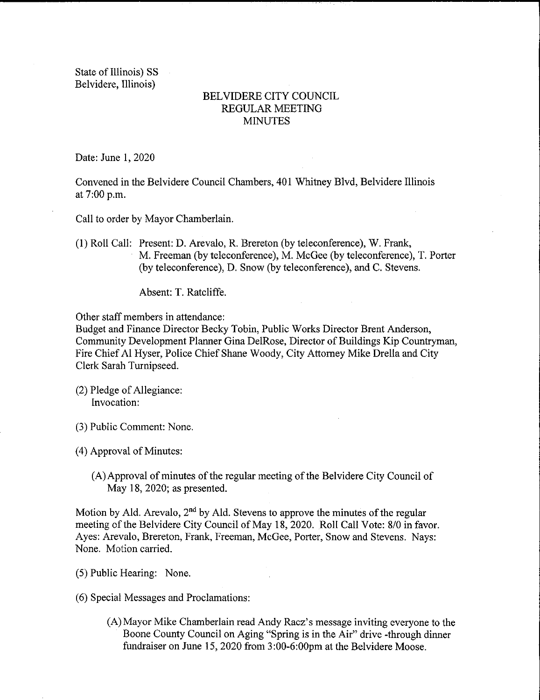State of Illinois) SS Belvidere, Illinois)

## BELVIDERE CITY COUNCIL REGULAR MEETING **MINUTES**

Date: June 1, 2020

Convened in the Belvidere Council Chambers, 401 Whitney Blvd, Belvidere Illinois at 7:00 p.m.

Call to order by Mayor Chamberlain.

1) Roll Call: Present: D. Arevalo, R. Brereton (by teleconference), W. Frank, M. Freeman( by teleconference), M. McGee ( by teleconference), T. Porter (by teleconference), D. Snow (by teleconference), and C. Stevens.

Absent: T. Ratcliffe.

Other staff members in attendance:

Budget and Finance Director Becky Tobin, Public Works Director Brent Anderson, Community Development Planner Gina DelRose, Director of Buildings Kip Countryman, Fire Chief Al Hyser, Police Chief Shane Woody, City Attorney Mike Drella and City Clerk Sarah Turnipseed.

- (2) Pledge of Allegiance: Invocation:
- 3) Public Comment: None.
- 4) Approval of Minutes:
	- A) Approval of minutes of the regular meeting of the Belvidere City Council of May 18, 2020; as presented.

Motion by Ald. Arevalo,  $2<sup>nd</sup>$  by Ald. Stevens to approve the minutes of the regular meeting of the Belvidere City Council of May 18, 2020. Roll Call Vote: 8/0 in favor. Ayes: Arevalo, Brereton, Frank, Freeman, McGee, Porter, Snow and Stevens. Nays: None. Motion carried.

- 5) Public Hearing: None.
- 6) Special Messages and Proclamations:
	- A) Mayor Mike Chamberlain read Andy Racz' <sup>s</sup> message inviting everyone to the Boone County Council on Aging "Spring is in the Air" drive - through dinner fundraiser on June 15, 2020 from 3:00-6:00pm at the Belvidere Moose.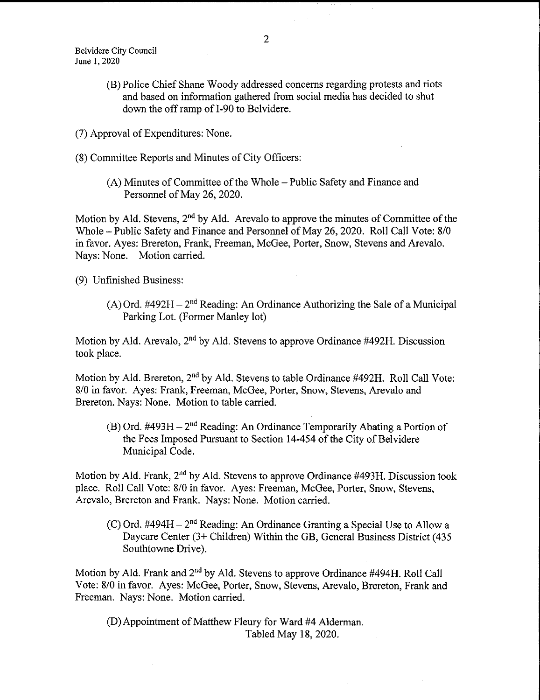Belvidere City Council June 1, 2020

- B) Police Chief Shane Woody addressed concerns regarding protests and riots and based on information gathered from social media has decided to shut down the off ramp of I-90 to Belvidere.
- 7) Approval of Expenditures: None.
- 8) Committee Reports and Minutes of City Officers:
	- A) Minutes of Committee of the Whole— Public Safety and Finance and Personnel of May 26, 2020.

Motion by Ald. Stevens, 2<sup>nd</sup> by Ald. Arevalo to approve the minutes of Committee of the Whole – Public Safety and Finance and Personnel of May 26, 2020. Roll Call Vote: 8/0 in favor. Ayes: Brereton, Frank, Freeman, McGee, Porter, Snow, Stevens and Arevalo. Nays: None. Motion carried.

9) Unfinished Business:

(A) Ord.  $\#492H - 2^{nd}$  Reading: An Ordinance Authorizing the Sale of a Municipal Parking Lot. (Former Manley lot)

Motion by Ald. Arevalo,  $2<sup>nd</sup>$  by Ald. Stevens to approve Ordinance #492H. Discussion took place.

Motion by Ald. Brereton, 2<sup>nd</sup> by Ald. Stevens to table Ordinance #492H. Roll Call Vote: 8/0 in favor. Ayes: Frank, Freeman, McGee, Porter, Snow, Stevens, Arevalo and Brereton. Nays: None. Motion to table carried.

 $(B)$  Ord. #493H – 2<sup>nd</sup> Reading: An Ordinance Temporarily Abating a Portion of the Fees Imposed Pursuant to Section 14-454 of the City of Belvidere Municipal Code.

Motion by Ald. Frank,  $2<sup>nd</sup>$  by Ald. Stevens to approve Ordinance #493H. Discussion took place. Roll Call Vote: 8/0 in favor. Ayes: Freeman, McGee, Porter, Snow, Stevens, Arevalo, Brereton and Frank. Nays: None. Motion carried.

(C) Ord. #494H –  $2<sup>nd</sup>$  Reading: An Ordinance Granting a Special Use to Allow a Daycare Center (3+ Children) Within the GB, General Business District (435 Southtowne Drive).

Motion by Ald. Frank and 2<sup>nd</sup> by Ald. Stevens to approve Ordinance #494H. Roll Call Vote: 8/0 in favor. Ayes: McGee, Porter, Snow, Stevens, Arevalo, Brereton, Frank and Freeman. Nays: None. Motion carried.

(D) Appointment of Matthew Fleury for Ward #4 Alderman. Tabled May 18, 2020.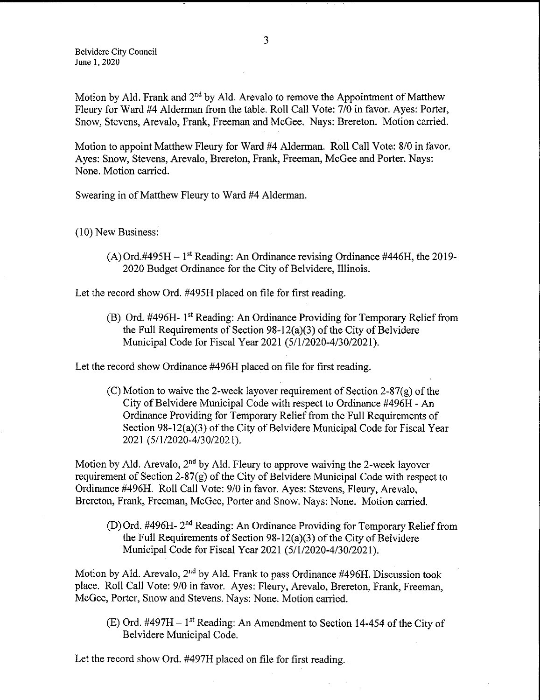Belvidere City Council June 1, 2020

Motion by Ald. Frank and  $2<sup>nd</sup>$  by Ald. Arevalo to remove the Appointment of Matthew Fleury for Ward #4 Alderman from the table. Roll Call Vote: 7/0 in favor. Ayes: Porter, Snow, Stevens, Arevalo, Frank, Freeman and McGee. Nays: Brereton. Motion carried.

Motion to appoint Matthew Fleury for Ward #4 Alderman. Roll Call Vote: 8/0 in favor. Ayes: Snow, Stevens, Arevalo, Brereton, Frank, Freeman, McGee and Porter. Nays: None. Motion carried.

Swearing in of Matthew Fleury to Ward #4 Alderman.

10) New Business:

(A) Ord.#495H  $-1<sup>st</sup>$  Reading: An Ordinance revising Ordinance #446H, the 2019-2020 Budget Ordinance for the City of Belvidere, Illinois.

Let the record show Ord. #495H placed on file for first reading,

B) Ord. #496H- 1st Reading: An Ordinance Providing for Temporary Relief from the Full Requirements of Section  $98-12(a)(3)$  of the City of Belvidere Municipal Code for Fiscal Year 2021 (5/1/2020-4/30/2021).

Let the record show Ordinance #496H placed on file for first reading.

 $(C)$  Motion to waive the 2-week layover requirement of Section 2-87 $(g)$  of the City of Belvidere Municipal Code with respect to Ordinance #496H - An Ordinance Providing for Temporary Relief from the Full Requirements of Section  $98 - 12(a)(3)$  of the City of Belvidere Municipal Code for Fiscal Year 2021 (5/1/2020-4/30/2021).

Motion by Ald. Arevalo,  $2<sup>nd</sup>$  by Ald. Fleury to approve waiving the 2-week layover requirement of Section  $2-87(g)$  of the City of Belvidere Municipal Code with respect to Ordinance #496H. Roll Call Vote: 9/0 in favor. Ayes: Stevens, Fleury, Arevalo, Brereton, Frank, Freeman, McGee, Porter and Snow. Nays: None. Motion carried.

(D) Ord. #496H-  $2<sup>nd</sup>$  Reading: An Ordinance Providing for Temporary Relief from the Full Requirements of Section  $98-12(a)(3)$  of the City of Belvidere Municipal Code for Fiscal Year 2021 (5/1/2020-4/30/2021).

Motion by Ald. Arevalo,  $2<sup>nd</sup>$  by Ald. Frank to pass Ordinance #496H. Discussion took place. Roll Call Vote: 9/0 in favor. Ayes: Fleury, Arevalo, Brereton, Frank, Freeman, McGee, Porter, Snow and Stevens. Nays: None. Motion carried.

(E) Ord.  $\#497H - 1$ <sup>st</sup> Reading: An Amendment to Section 14-454 of the City of Belvidere Municipal Code.

Let the record show Ord. #497H placed on file for first reading.